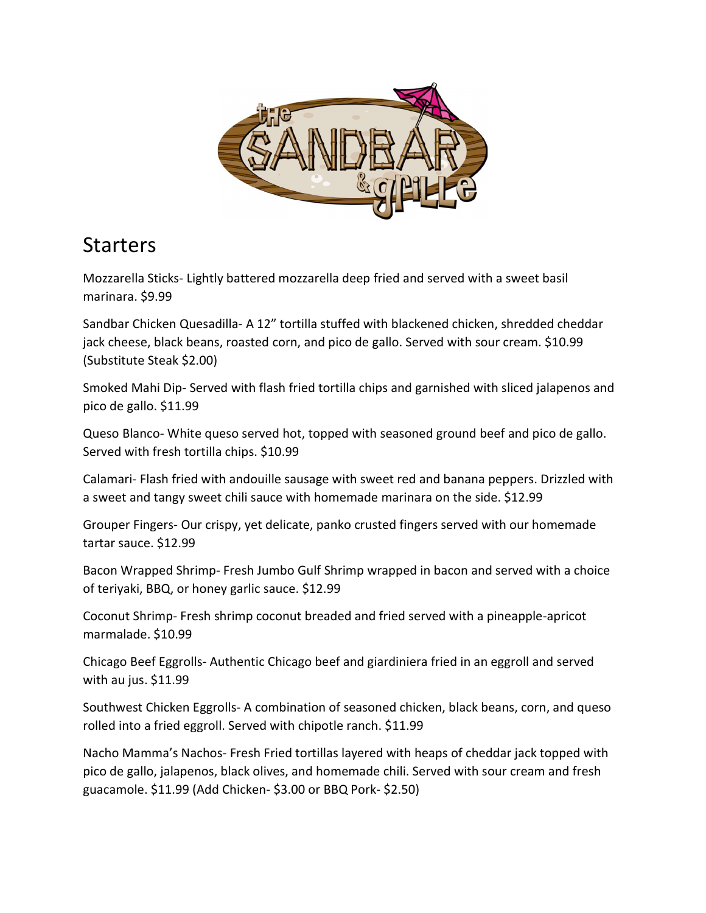

#### Starters

Mozzarella Sticks- Lightly battered mozzarella deep fried and served with a sweet basil marinara. \$9.99

Sandbar Chicken Quesadilla- A 12" tortilla stuffed with blackened chicken, shredded cheddar jack cheese, black beans, roasted corn, and pico de gallo. Served with sour cream. \$10.99 (Substitute Steak \$2.00)

Smoked Mahi Dip- Served with flash fried tortilla chips and garnished with sliced jalapenos and pico de gallo. \$11.99

Queso Blanco- White queso served hot, topped with seasoned ground beef and pico de gallo. Served with fresh tortilla chips. \$10.99

Calamari- Flash fried with andouille sausage with sweet red and banana peppers. Drizzled with a sweet and tangy sweet chili sauce with homemade marinara on the side. \$12.99

Grouper Fingers- Our crispy, yet delicate, panko crusted fingers served with our homemade tartar sauce. \$12.99

Bacon Wrapped Shrimp- Fresh Jumbo Gulf Shrimp wrapped in bacon and served with a choice of teriyaki, BBQ, or honey garlic sauce. \$12.99

Coconut Shrimp- Fresh shrimp coconut breaded and fried served with a pineapple-apricot marmalade. \$10.99

Chicago Beef Eggrolls- Authentic Chicago beef and giardiniera fried in an eggroll and served with au jus. \$11.99

Southwest Chicken Eggrolls- A combination of seasoned chicken, black beans, corn, and queso rolled into a fried eggroll. Served with chipotle ranch. \$11.99

Nacho Mamma's Nachos- Fresh Fried tortillas layered with heaps of cheddar jack topped with pico de gallo, jalapenos, black olives, and homemade chili. Served with sour cream and fresh guacamole. \$11.99 (Add Chicken- \$3.00 or BBQ Pork- \$2.50)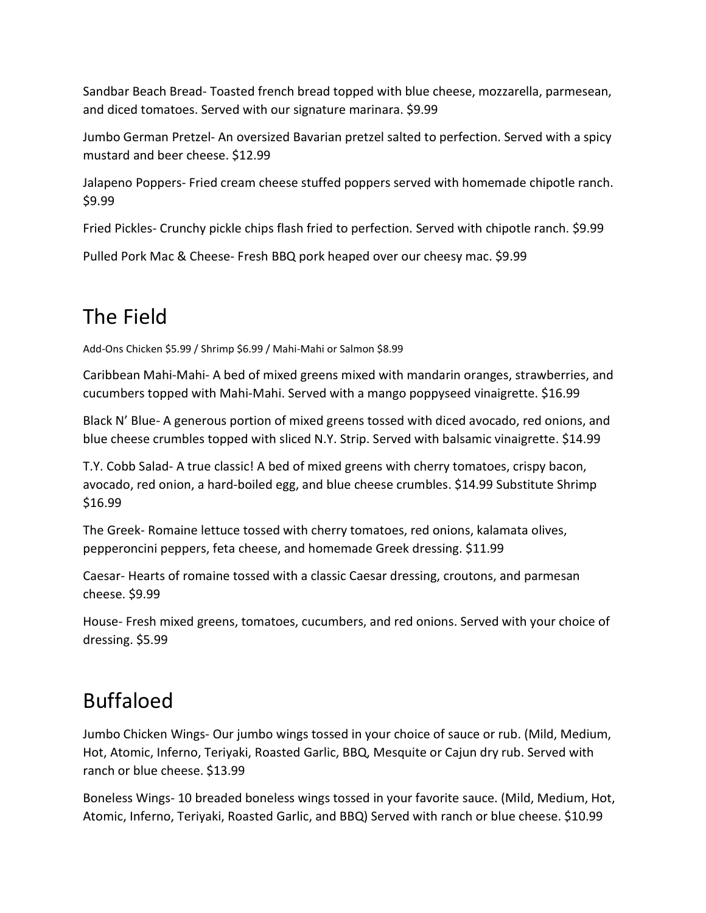Sandbar Beach Bread- Toasted french bread topped with blue cheese, mozzarella, parmesean, and diced tomatoes. Served with our signature marinara. \$9.99

Jumbo German Pretzel- An oversized Bavarian pretzel salted to perfection. Served with a spicy mustard and beer cheese. \$12.99

Jalapeno Poppers- Fried cream cheese stuffed poppers served with homemade chipotle ranch. \$9.99

Fried Pickles- Crunchy pickle chips flash fried to perfection. Served with chipotle ranch. \$9.99

Pulled Pork Mac & Cheese- Fresh BBQ pork heaped over our cheesy mac. \$9.99

# The Field

Add-Ons Chicken \$5.99 / Shrimp \$6.99 / Mahi-Mahi or Salmon \$8.99

Caribbean Mahi-Mahi- A bed of mixed greens mixed with mandarin oranges, strawberries, and cucumbers topped with Mahi-Mahi. Served with a mango poppyseed vinaigrette. \$16.99

Black N' Blue- A generous portion of mixed greens tossed with diced avocado, red onions, and blue cheese crumbles topped with sliced N.Y. Strip. Served with balsamic vinaigrette. \$14.99

T.Y. Cobb Salad- A true classic! A bed of mixed greens with cherry tomatoes, crispy bacon, avocado, red onion, a hard-boiled egg, and blue cheese crumbles. \$14.99 Substitute Shrimp \$16.99

The Greek- Romaine lettuce tossed with cherry tomatoes, red onions, kalamata olives, pepperoncini peppers, feta cheese, and homemade Greek dressing. \$11.99

Caesar- Hearts of romaine tossed with a classic Caesar dressing, croutons, and parmesan cheese. \$9.99

House- Fresh mixed greens, tomatoes, cucumbers, and red onions. Served with your choice of dressing. \$5.99

# Buffaloed

Jumbo Chicken Wings- Our jumbo wings tossed in your choice of sauce or rub. (Mild, Medium, Hot, Atomic, Inferno, Teriyaki, Roasted Garlic, BBQ, Mesquite or Cajun dry rub. Served with ranch or blue cheese. \$13.99

Boneless Wings- 10 breaded boneless wings tossed in your favorite sauce. (Mild, Medium, Hot, Atomic, Inferno, Teriyaki, Roasted Garlic, and BBQ) Served with ranch or blue cheese. \$10.99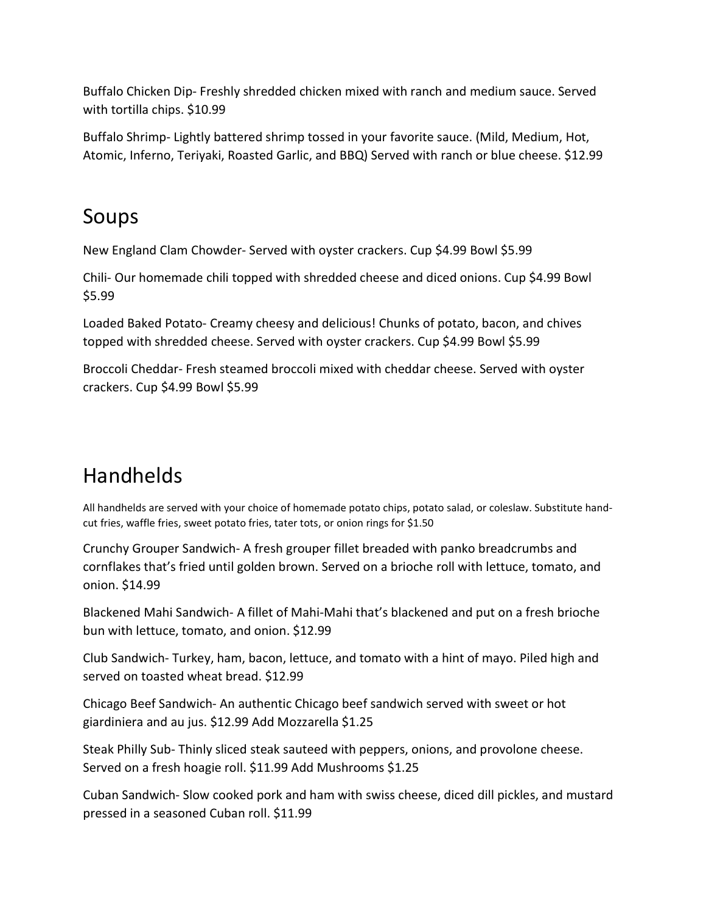Buffalo Chicken Dip- Freshly shredded chicken mixed with ranch and medium sauce. Served with tortilla chips. \$10.99

Buffalo Shrimp- Lightly battered shrimp tossed in your favorite sauce. (Mild, Medium, Hot, Atomic, Inferno, Teriyaki, Roasted Garlic, and BBQ) Served with ranch or blue cheese. \$12.99

#### Soups

New England Clam Chowder- Served with oyster crackers. Cup \$4.99 Bowl \$5.99

Chili- Our homemade chili topped with shredded cheese and diced onions. Cup \$4.99 Bowl \$5.99

Loaded Baked Potato- Creamy cheesy and delicious! Chunks of potato, bacon, and chives topped with shredded cheese. Served with oyster crackers. Cup \$4.99 Bowl \$5.99

Broccoli Cheddar- Fresh steamed broccoli mixed with cheddar cheese. Served with oyster crackers. Cup \$4.99 Bowl \$5.99

# Handhelds

All handhelds are served with your choice of homemade potato chips, potato salad, or coleslaw. Substitute handcut fries, waffle fries, sweet potato fries, tater tots, or onion rings for \$1.50

Crunchy Grouper Sandwich- A fresh grouper fillet breaded with panko breadcrumbs and cornflakes that's fried until golden brown. Served on a brioche roll with lettuce, tomato, and onion. \$14.99

Blackened Mahi Sandwich- A fillet of Mahi-Mahi that's blackened and put on a fresh brioche bun with lettuce, tomato, and onion. \$12.99

Club Sandwich- Turkey, ham, bacon, lettuce, and tomato with a hint of mayo. Piled high and served on toasted wheat bread. \$12.99

Chicago Beef Sandwich- An authentic Chicago beef sandwich served with sweet or hot giardiniera and au jus. \$12.99 Add Mozzarella \$1.25

Steak Philly Sub- Thinly sliced steak sauteed with peppers, onions, and provolone cheese. Served on a fresh hoagie roll. \$11.99 Add Mushrooms \$1.25

Cuban Sandwich- Slow cooked pork and ham with swiss cheese, diced dill pickles, and mustard pressed in a seasoned Cuban roll. \$11.99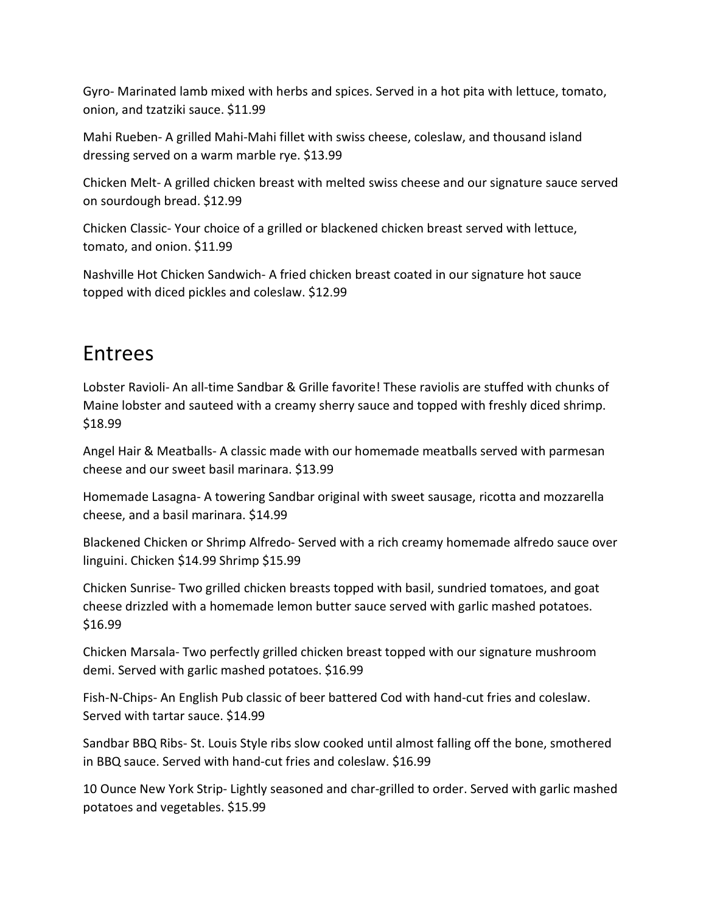Gyro- Marinated lamb mixed with herbs and spices. Served in a hot pita with lettuce, tomato, onion, and tzatziki sauce. \$11.99

Mahi Rueben- A grilled Mahi-Mahi fillet with swiss cheese, coleslaw, and thousand island dressing served on a warm marble rye. \$13.99

Chicken Melt- A grilled chicken breast with melted swiss cheese and our signature sauce served on sourdough bread. \$12.99

Chicken Classic- Your choice of a grilled or blackened chicken breast served with lettuce, tomato, and onion. \$11.99

Nashville Hot Chicken Sandwich- A fried chicken breast coated in our signature hot sauce topped with diced pickles and coleslaw. \$12.99

### Entrees

Lobster Ravioli- An all-time Sandbar & Grille favorite! These raviolis are stuffed with chunks of Maine lobster and sauteed with a creamy sherry sauce and topped with freshly diced shrimp. \$18.99

Angel Hair & Meatballs- A classic made with our homemade meatballs served with parmesan cheese and our sweet basil marinara. \$13.99

Homemade Lasagna- A towering Sandbar original with sweet sausage, ricotta and mozzarella cheese, and a basil marinara. \$14.99

Blackened Chicken or Shrimp Alfredo- Served with a rich creamy homemade alfredo sauce over linguini. Chicken \$14.99 Shrimp \$15.99

Chicken Sunrise- Two grilled chicken breasts topped with basil, sundried tomatoes, and goat cheese drizzled with a homemade lemon butter sauce served with garlic mashed potatoes. \$16.99

Chicken Marsala- Two perfectly grilled chicken breast topped with our signature mushroom demi. Served with garlic mashed potatoes. \$16.99

Fish-N-Chips- An English Pub classic of beer battered Cod with hand-cut fries and coleslaw. Served with tartar sauce. \$14.99

Sandbar BBQ Ribs- St. Louis Style ribs slow cooked until almost falling off the bone, smothered in BBQ sauce. Served with hand-cut fries and coleslaw. \$16.99

10 Ounce New York Strip- Lightly seasoned and char-grilled to order. Served with garlic mashed potatoes and vegetables. \$15.99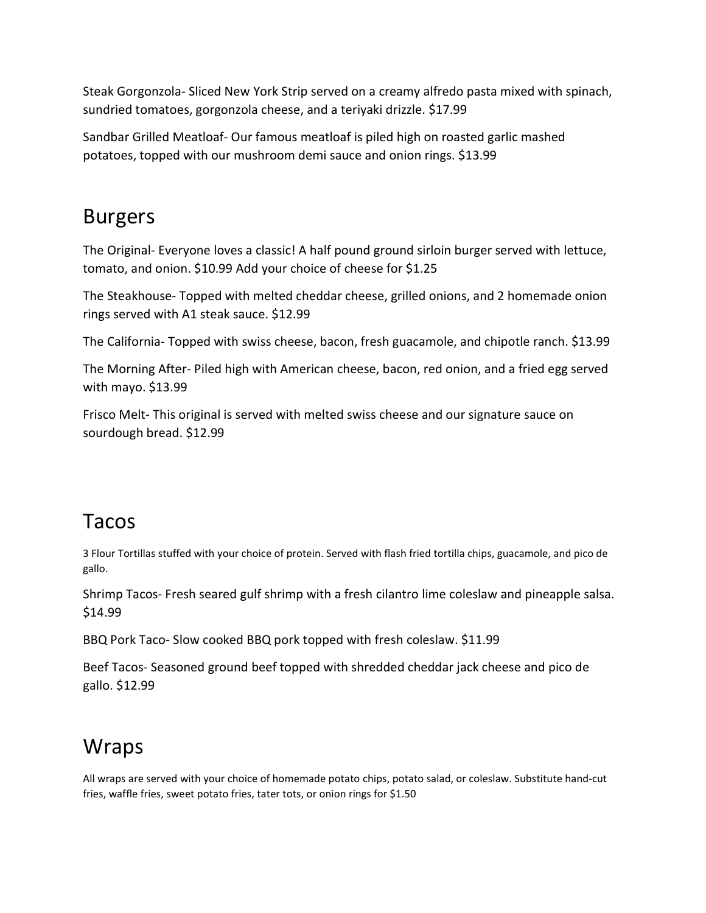Steak Gorgonzola- Sliced New York Strip served on a creamy alfredo pasta mixed with spinach, sundried tomatoes, gorgonzola cheese, and a teriyaki drizzle. \$17.99

Sandbar Grilled Meatloaf- Our famous meatloaf is piled high on roasted garlic mashed potatoes, topped with our mushroom demi sauce and onion rings. \$13.99

### Burgers

The Original- Everyone loves a classic! A half pound ground sirloin burger served with lettuce, tomato, and onion. \$10.99 Add your choice of cheese for \$1.25

The Steakhouse- Topped with melted cheddar cheese, grilled onions, and 2 homemade onion rings served with A1 steak sauce. \$12.99

The California- Topped with swiss cheese, bacon, fresh guacamole, and chipotle ranch. \$13.99

The Morning After- Piled high with American cheese, bacon, red onion, and a fried egg served with mayo. \$13.99

Frisco Melt- This original is served with melted swiss cheese and our signature sauce on sourdough bread. \$12.99

#### Tacos

3 Flour Tortillas stuffed with your choice of protein. Served with flash fried tortilla chips, guacamole, and pico de gallo.

Shrimp Tacos- Fresh seared gulf shrimp with a fresh cilantro lime coleslaw and pineapple salsa. \$14.99

BBQ Pork Taco- Slow cooked BBQ pork topped with fresh coleslaw. \$11.99

Beef Tacos- Seasoned ground beef topped with shredded cheddar jack cheese and pico de gallo. \$12.99

## **Wraps**

All wraps are served with your choice of homemade potato chips, potato salad, or coleslaw. Substitute hand-cut fries, waffle fries, sweet potato fries, tater tots, or onion rings for \$1.50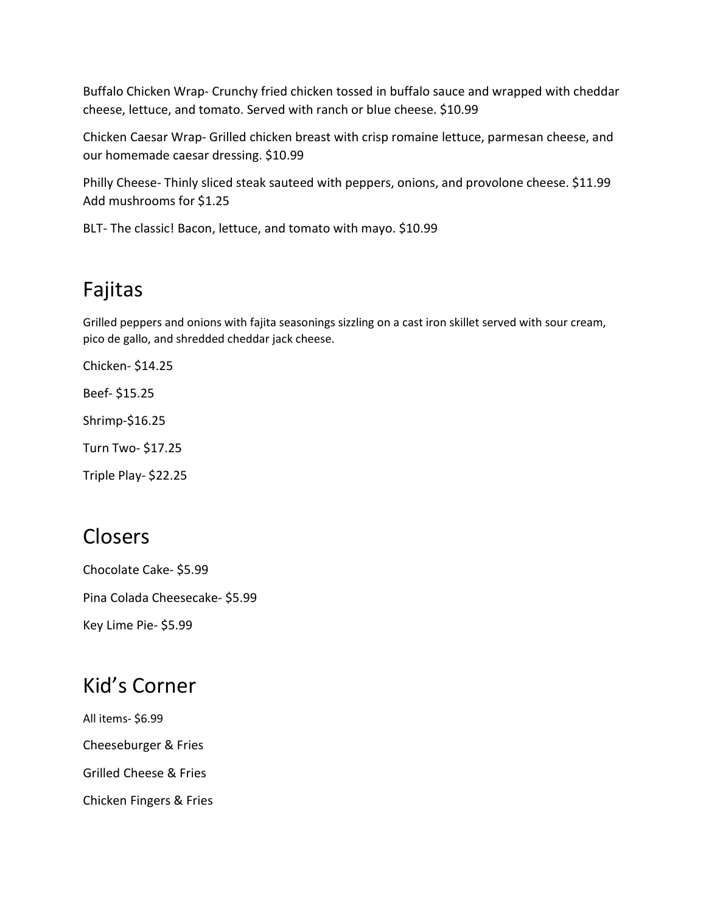Buffalo Chicken Wrap- Crunchy fried chicken tossed in buffalo sauce and wrapped with cheddar cheese, lettuce, and tomato. Served with ranch or blue cheese. \$10.99

Chicken Caesar Wrap- Grilled chicken breast with crisp romaine lettuce, parmesan cheese, and our homemade caesar dressing. \$10.99

Philly Cheese- Thinly sliced steak sauteed with peppers, onions, and provolone cheese. \$11.99 Add mushrooms for \$1.25

BLT- The classic! Bacon, lettuce, and tomato with mayo. \$10.99

## Fajitas

Grilled peppers and onions with fajita seasonings sizzling on a cast iron skillet served with sour cream, pico de gallo, and shredded cheddar jack cheese.

Chicken- \$14.25

Beef- \$15.25

Shrimp-\$16.25

Turn Two- \$17.25

Triple Play- \$22.25

## Closers

Chocolate Cake- \$5.99 Pina Colada Cheesecake- \$5.99 Key Lime Pie- \$5.99

#### Kid's Corner

All items- \$6.99 Cheeseburger & Fries Grilled Cheese & Fries Chicken Fingers & Fries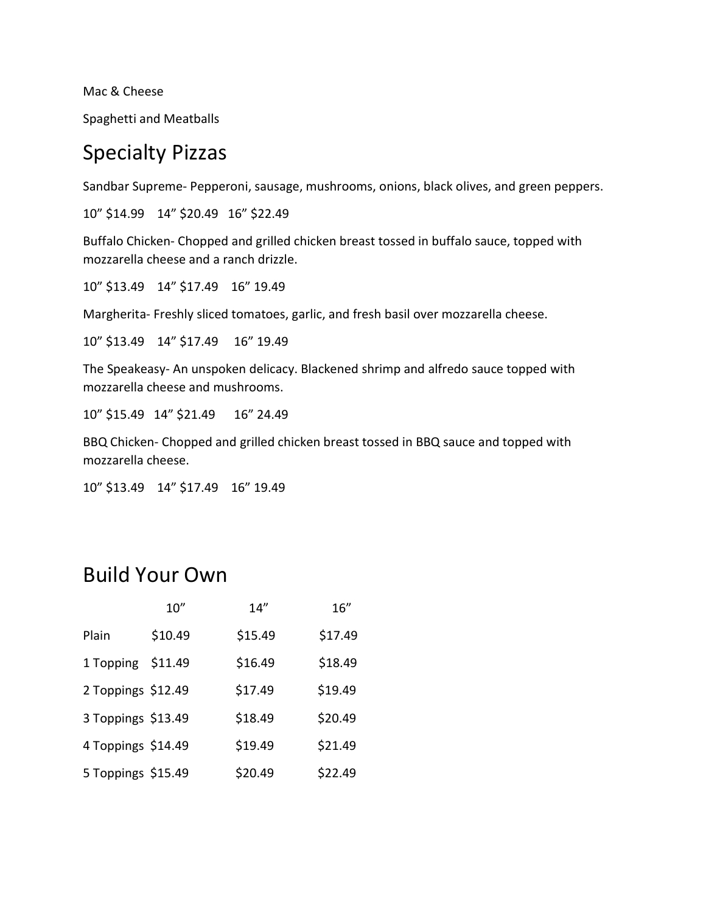Mac & Cheese

Spaghetti and Meatballs

#### Specialty Pizzas

Sandbar Supreme- Pepperoni, sausage, mushrooms, onions, black olives, and green peppers.

10" \$14.99 14" \$20.49 16" \$22.49

Buffalo Chicken- Chopped and grilled chicken breast tossed in buffalo sauce, topped with mozzarella cheese and a ranch drizzle.

10" \$13.49 14" \$17.49 16" 19.49

Margherita- Freshly sliced tomatoes, garlic, and fresh basil over mozzarella cheese.

10" \$13.49 14" \$17.49 16" 19.49

The Speakeasy- An unspoken delicacy. Blackened shrimp and alfredo sauce topped with mozzarella cheese and mushrooms.

10" \$15.49 14" \$21.49 16" 24.49

BBQ Chicken- Chopped and grilled chicken breast tossed in BBQ sauce and topped with mozzarella cheese.

10" \$13.49 14" \$17.49 16" 19.49

### Build Your Own

|                    | 10''    | 14''    | 16''    |
|--------------------|---------|---------|---------|
| Plain              | \$10.49 | \$15.49 | \$17.49 |
| 1 Topping          | \$11.49 | \$16.49 | \$18.49 |
| 2 Toppings \$12.49 |         | \$17.49 | \$19.49 |
| 3 Toppings \$13.49 |         | \$18.49 | \$20.49 |
| 4 Toppings \$14.49 |         | \$19.49 | \$21.49 |
| 5 Toppings \$15.49 |         | \$20.49 | \$22.49 |